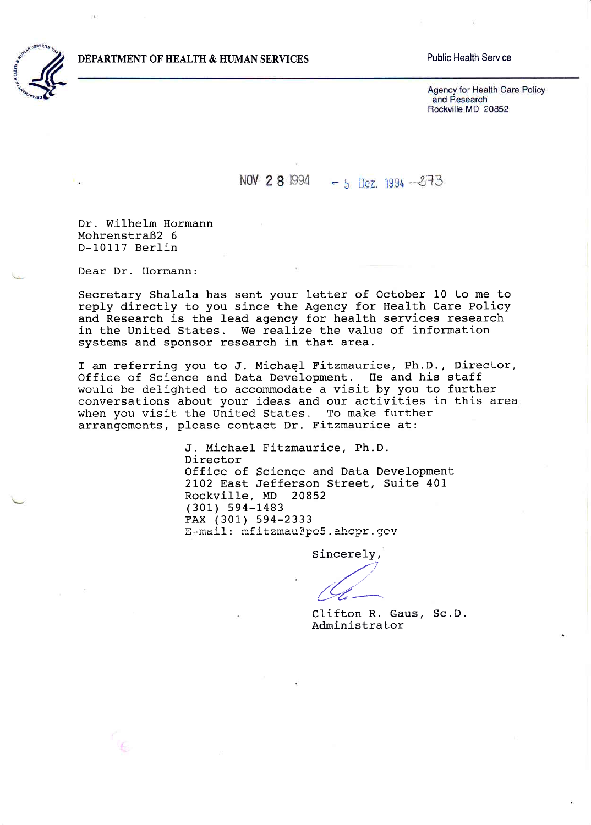

## **Public Health Service**

Agency for Health Care Policy and Research Rockville MD 20852

## NOV 2 8 1994 - 5 Dez. 1994  $-273$

Dr. Wilhelm Hormann Mohrenstraß2 6 D-10117 Berlin

Dear Dr. Hormann:

Secretary Shalala has sent your letter of October 10 to me to reply directly to you since the Agency for Health Care Policy and Research is the lead agency for health services research in the United States. We realize the value of information systems and sponsor research in that area.

I am referring you to J. Michael Fitzmaurice, Ph.D., Director, Office of Science and Data Development. He and his staff would be delighted to accommodate a visit by you to further conversations about your ideas and our activities in this area when you visit the United States. To make further arrangements, please contact Dr. Fitzmaurice at:

> J. Michael Fitzmaurice, Ph.D. Director Office of Science and Data Development 2102 East Jefferson Street, Suite 401 Rockville, MD 20852  $(301) 594 - 1483$ FAX (301) 594-2333 E-mail: mfitzmau@po5.ahcpr.gov

> > Sincerely,

Clifton R. Gaus, Sc.D. Administrator